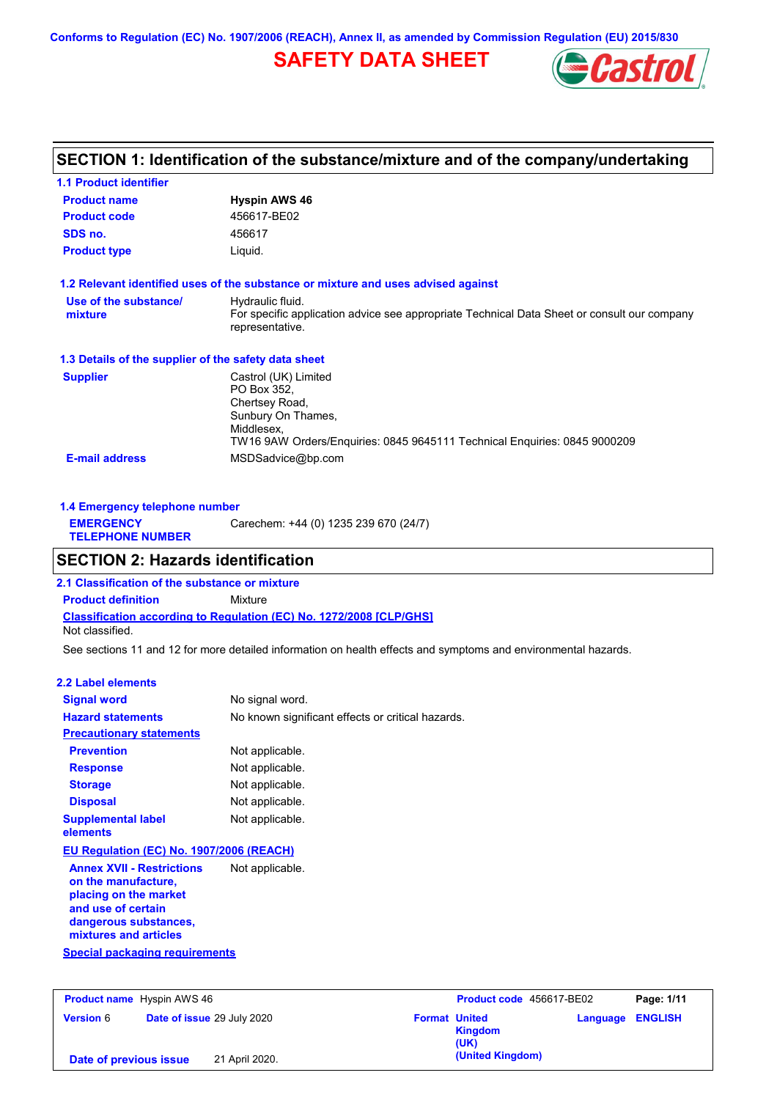**Conforms to Regulation (EC) No. 1907/2006 (REACH), Annex II, as amended by Commission Regulation (EU) 2015/830**

# **SAFETY DATA SHEET**



# **SECTION 1: Identification of the substance/mixture and of the company/undertaking**

| <b>1.1 Product identifier</b>                        |                                                                                                                                                                        |
|------------------------------------------------------|------------------------------------------------------------------------------------------------------------------------------------------------------------------------|
| <b>Product name</b>                                  | <b>Hyspin AWS 46</b>                                                                                                                                                   |
| <b>Product code</b>                                  | 456617-BE02                                                                                                                                                            |
| SDS no.                                              | 456617                                                                                                                                                                 |
| <b>Product type</b>                                  | Liquid.                                                                                                                                                                |
|                                                      | 1.2 Relevant identified uses of the substance or mixture and uses advised against                                                                                      |
| Use of the substance/<br>mixture                     | Hydraulic fluid.<br>For specific application advice see appropriate Technical Data Sheet or consult our company<br>representative.                                     |
| 1.3 Details of the supplier of the safety data sheet |                                                                                                                                                                        |
| <b>Supplier</b>                                      | Castrol (UK) Limited<br>PO Box 352.<br>Chertsey Road,<br>Sunbury On Thames,<br>Middlesex.<br>TW16 9AW Orders/Enquiries: 0845 9645111 Technical Enquiries: 0845 9000209 |
| <b>E-mail address</b>                                | MSDSadvice@bp.com                                                                                                                                                      |

| 1.4 Emergency telephone number              |                                       |  |
|---------------------------------------------|---------------------------------------|--|
| <b>EMERGENCY</b><br><b>TELEPHONE NUMBER</b> | Carechem: +44 (0) 1235 239 670 (24/7) |  |

## **SECTION 2: Hazards identification**

**Classification according to Regulation (EC) No. 1272/2008 [CLP/GHS] 2.1 Classification of the substance or mixture Product definition** Mixture Not classified.

See sections 11 and 12 for more detailed information on health effects and symptoms and environmental hazards.

### **2.2 Label elements**

| <b>Signal word</b>                                                                                                                                       | No signal word.                                   |
|----------------------------------------------------------------------------------------------------------------------------------------------------------|---------------------------------------------------|
| <b>Hazard statements</b>                                                                                                                                 | No known significant effects or critical hazards. |
| <b>Precautionary statements</b>                                                                                                                          |                                                   |
| <b>Prevention</b>                                                                                                                                        | Not applicable.                                   |
| <b>Response</b>                                                                                                                                          | Not applicable.                                   |
| <b>Storage</b>                                                                                                                                           | Not applicable.                                   |
| <b>Disposal</b>                                                                                                                                          | Not applicable.                                   |
| <b>Supplemental label</b><br>elements                                                                                                                    | Not applicable.                                   |
| <b>EU Regulation (EC) No. 1907/2006 (REACH)</b>                                                                                                          |                                                   |
| <b>Annex XVII - Restrictions</b><br>on the manufacture,<br>placing on the market<br>and use of certain<br>dangerous substances,<br>mixtures and articles | Not applicable.                                   |
| Special packaging requirements                                                                                                                           |                                                   |

| <b>Product name</b> Hyspin AWS 46 |                            |                                         | Product code 456617-BE02 |  |
|-----------------------------------|----------------------------|-----------------------------------------|--------------------------|--|
| <b>Version 6</b>                  | Date of issue 29 July 2020 | <b>Format United</b><br>Kingdom<br>(UK) | Language ENGLISH         |  |
| Date of previous issue            | 21 April 2020.             | (United Kingdom)                        |                          |  |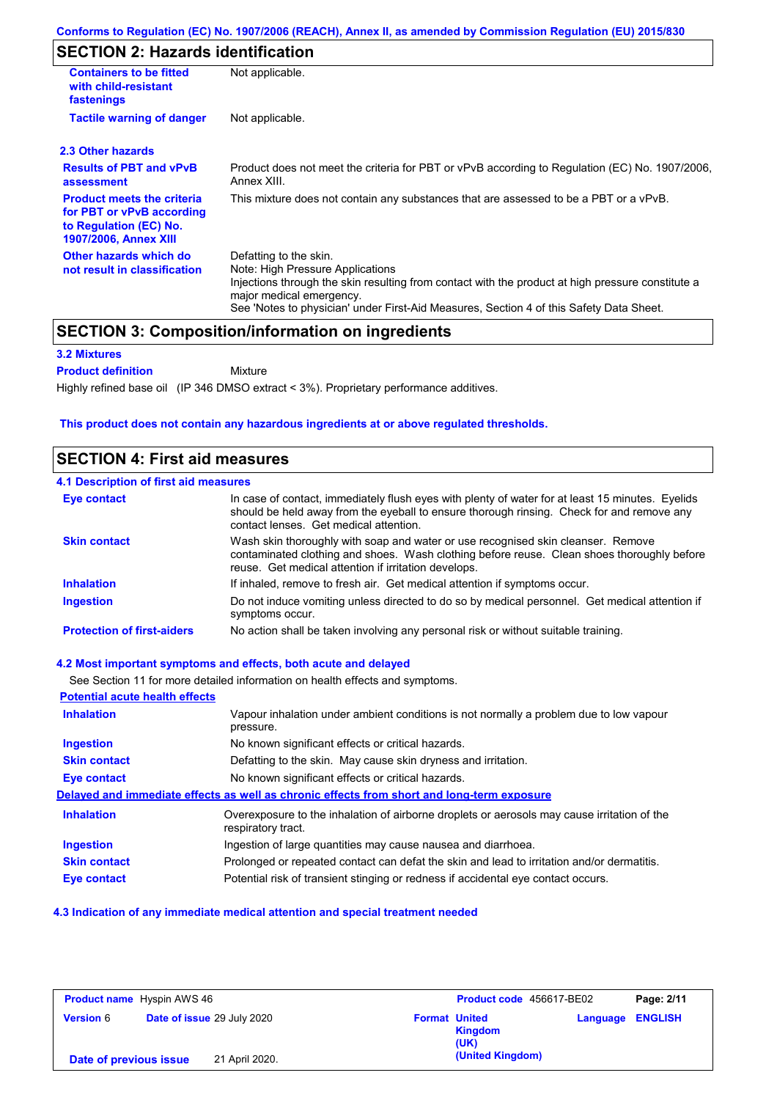# **SECTION 2: Hazards identification**

| <b>Containers to be fitted</b><br>with child-resistant<br>fastenings                                                     | Not applicable.                                                                                                                                                                                                                                                                        |  |  |
|--------------------------------------------------------------------------------------------------------------------------|----------------------------------------------------------------------------------------------------------------------------------------------------------------------------------------------------------------------------------------------------------------------------------------|--|--|
| <b>Tactile warning of danger</b>                                                                                         | Not applicable.                                                                                                                                                                                                                                                                        |  |  |
| 2.3 Other hazards                                                                                                        |                                                                                                                                                                                                                                                                                        |  |  |
| <b>Results of PBT and vPvB</b><br>assessment                                                                             | Product does not meet the criteria for PBT or vPvB according to Regulation (EC) No. 1907/2006,<br>Annex XIII.                                                                                                                                                                          |  |  |
| <b>Product meets the criteria</b><br>for PBT or vPvB according<br>to Regulation (EC) No.<br><b>1907/2006, Annex XIII</b> | This mixture does not contain any substances that are assessed to be a PBT or a vPvB.                                                                                                                                                                                                  |  |  |
| Other hazards which do<br>not result in classification                                                                   | Defatting to the skin.<br>Note: High Pressure Applications<br>Injections through the skin resulting from contact with the product at high pressure constitute a<br>major medical emergency.<br>See 'Notes to physician' under First-Aid Measures, Section 4 of this Safety Data Sheet. |  |  |

### **SECTION 3: Composition/information on ingredients**

Mixture

### **3.2 Mixtures**

**Product definition**

Highly refined base oil (IP 346 DMSO extract < 3%). Proprietary performance additives.

### **This product does not contain any hazardous ingredients at or above regulated thresholds.**

### **SECTION 4: First aid measures**

| <b>4.1 Description of first aid measures</b> |                                                                                                                                                                                                                                         |
|----------------------------------------------|-----------------------------------------------------------------------------------------------------------------------------------------------------------------------------------------------------------------------------------------|
| <b>Eye contact</b>                           | In case of contact, immediately flush eyes with plenty of water for at least 15 minutes. Eyelids<br>should be held away from the eyeball to ensure thorough rinsing. Check for and remove any<br>contact lenses. Get medical attention. |
| <b>Skin contact</b>                          | Wash skin thoroughly with soap and water or use recognised skin cleanser. Remove<br>contaminated clothing and shoes. Wash clothing before reuse. Clean shoes thoroughly before<br>reuse. Get medical attention if irritation develops.  |
| <b>Inhalation</b>                            | If inhaled, remove to fresh air. Get medical attention if symptoms occur.                                                                                                                                                               |
| <b>Ingestion</b>                             | Do not induce vomiting unless directed to do so by medical personnel. Get medical attention if<br>symptoms occur.                                                                                                                       |
| <b>Protection of first-aiders</b>            | No action shall be taken involving any personal risk or without suitable training.                                                                                                                                                      |

### **4.2 Most important symptoms and effects, both acute and delayed**

See Section 11 for more detailed information on health effects and symptoms. **Potential acute health effects Inhalation** Vapour inhalation under ambient conditions is not normally a problem due to low vapour pressure. **Ingestion** No known significant effects or critical hazards. **Skin contact** Defatting to the skin. May cause skin dryness and irritation. **Eye contact** No known significant effects or critical hazards. **Delayed and immediate effects as well as chronic effects from short and long-term exposure Inhalation Ingestion Skin contact Eye contact** Overexposure to the inhalation of airborne droplets or aerosols may cause irritation of the respiratory tract. Ingestion of large quantities may cause nausea and diarrhoea. Prolonged or repeated contact can defat the skin and lead to irritation and/or dermatitis. Potential risk of transient stinging or redness if accidental eye contact occurs.

#### **4.3 Indication of any immediate medical attention and special treatment needed**

| <b>Product name</b> Hyspin AWS 46 |                                   | Product code 456617-BE02 |                                                | Page: 2/11 |                |
|-----------------------------------|-----------------------------------|--------------------------|------------------------------------------------|------------|----------------|
| <b>Version 6</b>                  | <b>Date of issue 29 July 2020</b> |                          | <b>Format United</b><br><b>Kingdom</b><br>(UK) | Language   | <b>ENGLISH</b> |
| Date of previous issue            |                                   | 21 April 2020.           | (United Kingdom)                               |            |                |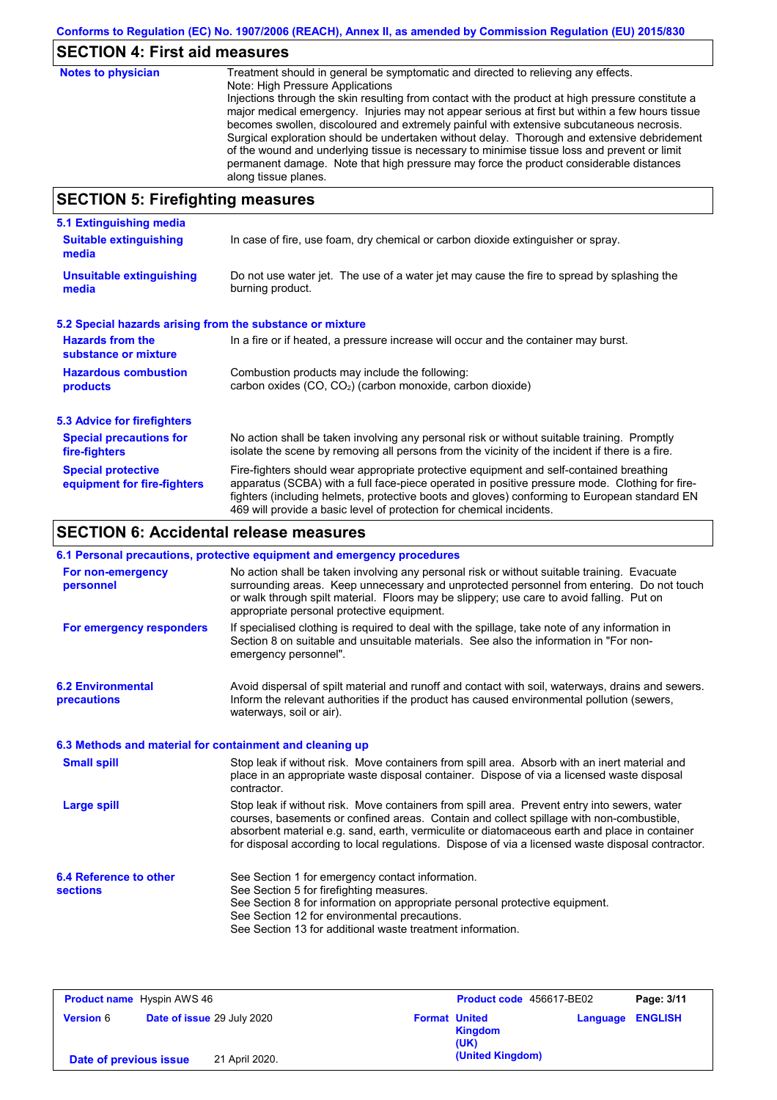# **SECTION 4: First aid measures**

| <b>Notes to physician</b>          | Treatment should in general be symptomatic and directed to relieving any effects.<br>Note: High Pressure Applications<br>Injections through the skin resulting from contact with the product at high pressure constitute a<br>major medical emergency. Injuries may not appear serious at first but within a few hours tissue<br>becomes swollen, discoloured and extremely painful with extensive subcutaneous necrosis.<br>Surgical exploration should be undertaken without delay. Thorough and extensive debridement<br>of the wound and underlying tissue is necessary to minimise tissue loss and prevent or limit<br>permanent damage. Note that high pressure may force the product considerable distances<br>along tissue planes. |
|------------------------------------|--------------------------------------------------------------------------------------------------------------------------------------------------------------------------------------------------------------------------------------------------------------------------------------------------------------------------------------------------------------------------------------------------------------------------------------------------------------------------------------------------------------------------------------------------------------------------------------------------------------------------------------------------------------------------------------------------------------------------------------------|
| CECTION E. Einefinkting measonings |                                                                                                                                                                                                                                                                                                                                                                                                                                                                                                                                                                                                                                                                                                                                            |

### **SECTION 5: Firefighting measures**

| 5.1 Extinguishing media                                                                                                    |                                                                                                                                                                                                                                                                                                                                                                   |  |  |
|----------------------------------------------------------------------------------------------------------------------------|-------------------------------------------------------------------------------------------------------------------------------------------------------------------------------------------------------------------------------------------------------------------------------------------------------------------------------------------------------------------|--|--|
| In case of fire, use foam, dry chemical or carbon dioxide extinguisher or spray.<br><b>Suitable extinguishing</b><br>media |                                                                                                                                                                                                                                                                                                                                                                   |  |  |
| <b>Unsuitable extinguishing</b><br>media                                                                                   | Do not use water jet. The use of a water jet may cause the fire to spread by splashing the<br>burning product.                                                                                                                                                                                                                                                    |  |  |
| 5.2 Special hazards arising from the substance or mixture                                                                  |                                                                                                                                                                                                                                                                                                                                                                   |  |  |
| <b>Hazards from the</b><br>substance or mixture                                                                            | In a fire or if heated, a pressure increase will occur and the container may burst.                                                                                                                                                                                                                                                                               |  |  |
| <b>Hazardous combustion</b>                                                                                                | Combustion products may include the following:                                                                                                                                                                                                                                                                                                                    |  |  |
| products                                                                                                                   | carbon oxides $(CO, CO2)$ (carbon monoxide, carbon dioxide)                                                                                                                                                                                                                                                                                                       |  |  |
| 5.3 Advice for firefighters                                                                                                |                                                                                                                                                                                                                                                                                                                                                                   |  |  |
| <b>Special precautions for</b><br>fire-fighters                                                                            | No action shall be taken involving any personal risk or without suitable training. Promptly<br>isolate the scene by removing all persons from the vicinity of the incident if there is a fire.                                                                                                                                                                    |  |  |
| <b>Special protective</b><br>equipment for fire-fighters                                                                   | Fire-fighters should wear appropriate protective equipment and self-contained breathing<br>apparatus (SCBA) with a full face-piece operated in positive pressure mode. Clothing for fire-<br>fighters (including helmets, protective boots and gloves) conforming to European standard EN<br>469 will provide a basic level of protection for chemical incidents. |  |  |

# **SECTION 6: Accidental release measures**

|                                                          | 6.1 Personal precautions, protective equipment and emergency procedures                                                                                                                                                                                                                                                                                                                        |  |  |
|----------------------------------------------------------|------------------------------------------------------------------------------------------------------------------------------------------------------------------------------------------------------------------------------------------------------------------------------------------------------------------------------------------------------------------------------------------------|--|--|
| For non-emergency<br>personnel                           | No action shall be taken involving any personal risk or without suitable training. Evacuate<br>surrounding areas. Keep unnecessary and unprotected personnel from entering. Do not touch<br>or walk through spilt material. Floors may be slippery; use care to avoid falling. Put on<br>appropriate personal protective equipment.                                                            |  |  |
| For emergency responders                                 | If specialised clothing is required to deal with the spillage, take note of any information in<br>Section 8 on suitable and unsuitable materials. See also the information in "For non-<br>emergency personnel".                                                                                                                                                                               |  |  |
| <b>6.2 Environmental</b><br>precautions                  | Avoid dispersal of spilt material and runoff and contact with soil, waterways, drains and sewers.<br>Inform the relevant authorities if the product has caused environmental pollution (sewers,<br>waterways, soil or air).                                                                                                                                                                    |  |  |
| 6.3 Methods and material for containment and cleaning up |                                                                                                                                                                                                                                                                                                                                                                                                |  |  |
| <b>Small spill</b>                                       | Stop leak if without risk. Move containers from spill area. Absorb with an inert material and<br>place in an appropriate waste disposal container. Dispose of via a licensed waste disposal<br>contractor.                                                                                                                                                                                     |  |  |
| <b>Large spill</b>                                       | Stop leak if without risk. Move containers from spill area. Prevent entry into sewers, water<br>courses, basements or confined areas. Contain and collect spillage with non-combustible,<br>absorbent material e.g. sand, earth, vermiculite or diatomaceous earth and place in container<br>for disposal according to local regulations. Dispose of via a licensed waste disposal contractor. |  |  |
| 6.4 Reference to other<br><b>sections</b>                | See Section 1 for emergency contact information.<br>See Section 5 for firefighting measures.<br>See Section 8 for information on appropriate personal protective equipment.<br>See Section 12 for environmental precautions.<br>See Section 13 for additional waste treatment information.                                                                                                     |  |  |

| <b>Product name</b> Hyspin AWS 46 |                            |                                         | Product code 456617-BE02 |                |
|-----------------------------------|----------------------------|-----------------------------------------|--------------------------|----------------|
| <b>Version 6</b>                  | Date of issue 29 July 2020 | <b>Format United</b><br>Kingdom<br>(UK) | Language                 | <b>ENGLISH</b> |
| Date of previous issue            | 21 April 2020.             | (United Kingdom)                        |                          |                |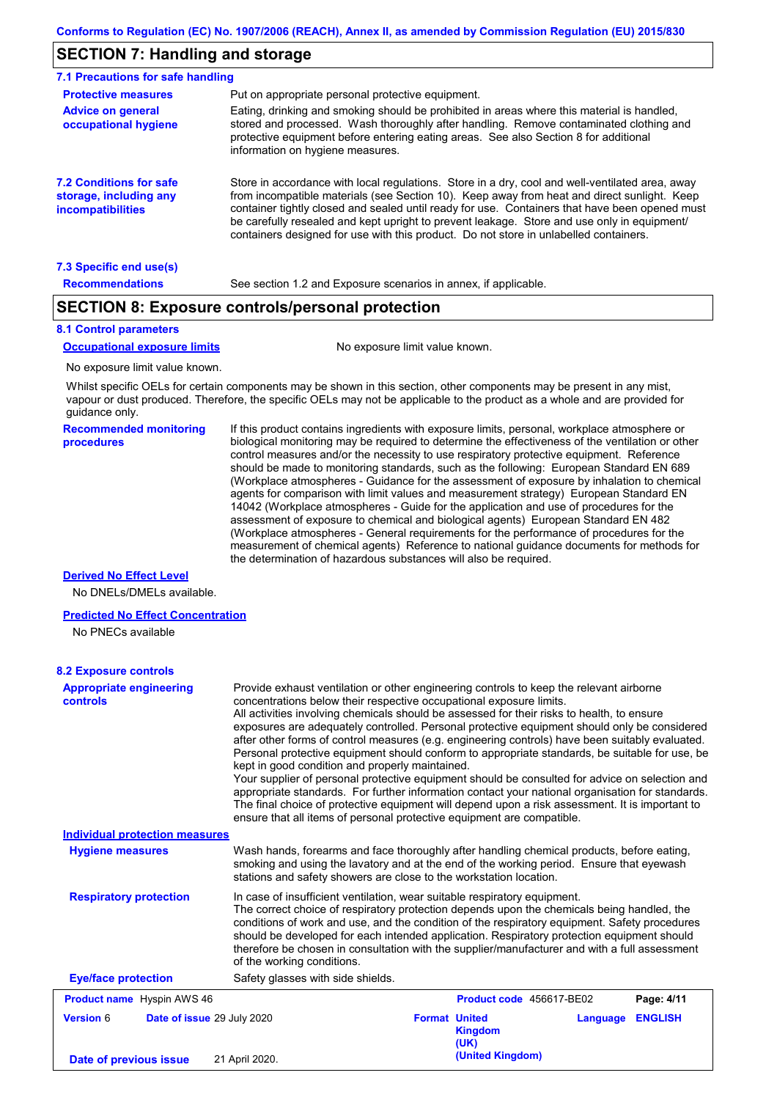## **SECTION 7: Handling and storage**

| 7.1 Precautions for safe handling                                                    |                                                                                                                                                                                                                                                                                                                                                                                                                                                                                          |
|--------------------------------------------------------------------------------------|------------------------------------------------------------------------------------------------------------------------------------------------------------------------------------------------------------------------------------------------------------------------------------------------------------------------------------------------------------------------------------------------------------------------------------------------------------------------------------------|
| <b>Protective measures</b>                                                           | Put on appropriate personal protective equipment.                                                                                                                                                                                                                                                                                                                                                                                                                                        |
| <b>Advice on general</b><br>occupational hygiene                                     | Eating, drinking and smoking should be prohibited in areas where this material is handled.<br>stored and processed. Wash thoroughly after handling. Remove contaminated clothing and<br>protective equipment before entering eating areas. See also Section 8 for additional<br>information on hygiene measures.                                                                                                                                                                         |
| <b>7.2 Conditions for safe</b><br>storage, including any<br><i>incompatibilities</i> | Store in accordance with local requiations. Store in a dry, cool and well-ventilated area, away<br>from incompatible materials (see Section 10). Keep away from heat and direct sunlight. Keep<br>container tightly closed and sealed until ready for use. Containers that have been opened must<br>be carefully resealed and kept upright to prevent leakage. Store and use only in equipment/<br>containers designed for use with this product. Do not store in unlabelled containers. |
| 7.3 Specific end use(s)                                                              |                                                                                                                                                                                                                                                                                                                                                                                                                                                                                          |
| <b>Recommendations</b>                                                               | See section 1.2 and Exposure scenarios in annex, if applicable.                                                                                                                                                                                                                                                                                                                                                                                                                          |

### **SECTION 8: Exposure controls/personal protection**

#### **8.1 Control parameters**

#### **Occupational exposure limits** No exposure limit value known.

No exposure limit value known.

Whilst specific OELs for certain components may be shown in this section, other components may be present in any mist, vapour or dust produced. Therefore, the specific OELs may not be applicable to the product as a whole and are provided for guidance only.

**Recommended monitoring procedures**

If this product contains ingredients with exposure limits, personal, workplace atmosphere or biological monitoring may be required to determine the effectiveness of the ventilation or other control measures and/or the necessity to use respiratory protective equipment. Reference should be made to monitoring standards, such as the following: European Standard EN 689 (Workplace atmospheres - Guidance for the assessment of exposure by inhalation to chemical agents for comparison with limit values and measurement strategy) European Standard EN 14042 (Workplace atmospheres - Guide for the application and use of procedures for the assessment of exposure to chemical and biological agents) European Standard EN 482 (Workplace atmospheres - General requirements for the performance of procedures for the measurement of chemical agents) Reference to national guidance documents for methods for the determination of hazardous substances will also be required.

#### **Derived No Effect Level**

No DNELs/DMELs available.

#### **Predicted No Effect Concentration**

No PNECs available

#### In case of insufficient ventilation, wear suitable respiratory equipment. The correct choice of respiratory protection depends upon the chemicals being handled, the conditions of work and use, and the condition of the respiratory equipment. Safety procedures should be developed for each intended application. Respiratory protection equipment should therefore be chosen in consultation with the supplier/manufacturer and with a full assessment of the working conditions. **Eye/face protection** Safety glasses with side shields. **Respiratory protection Appropriate engineering controls** Provide exhaust ventilation or other engineering controls to keep the relevant airborne concentrations below their respective occupational exposure limits. All activities involving chemicals should be assessed for their risks to health, to ensure exposures are adequately controlled. Personal protective equipment should only be considered after other forms of control measures (e.g. engineering controls) have been suitably evaluated. Personal protective equipment should conform to appropriate standards, be suitable for use, be kept in good condition and properly maintained. Your supplier of personal protective equipment should be consulted for advice on selection and appropriate standards. For further information contact your national organisation for standards. The final choice of protective equipment will depend upon a risk assessment. It is important to ensure that all items of personal protective equipment are compatible. Wash hands, forearms and face thoroughly after handling chemical products, before eating, smoking and using the lavatory and at the end of the working period. Ensure that eyewash stations and safety showers are close to the workstation location. **8.2 Exposure controls Hygiene measures Individual protection measures Product name** Hyspin AWS 46 **Version** 6 Hyspin AWS 46 **Product code** 456617-BE02 **Page: 4/11 Date of issue** 29 July 2020 **Format United Kingdom (UK) Language ENGLISH (United Kingdom) Date of previous issue** 21 April 2020.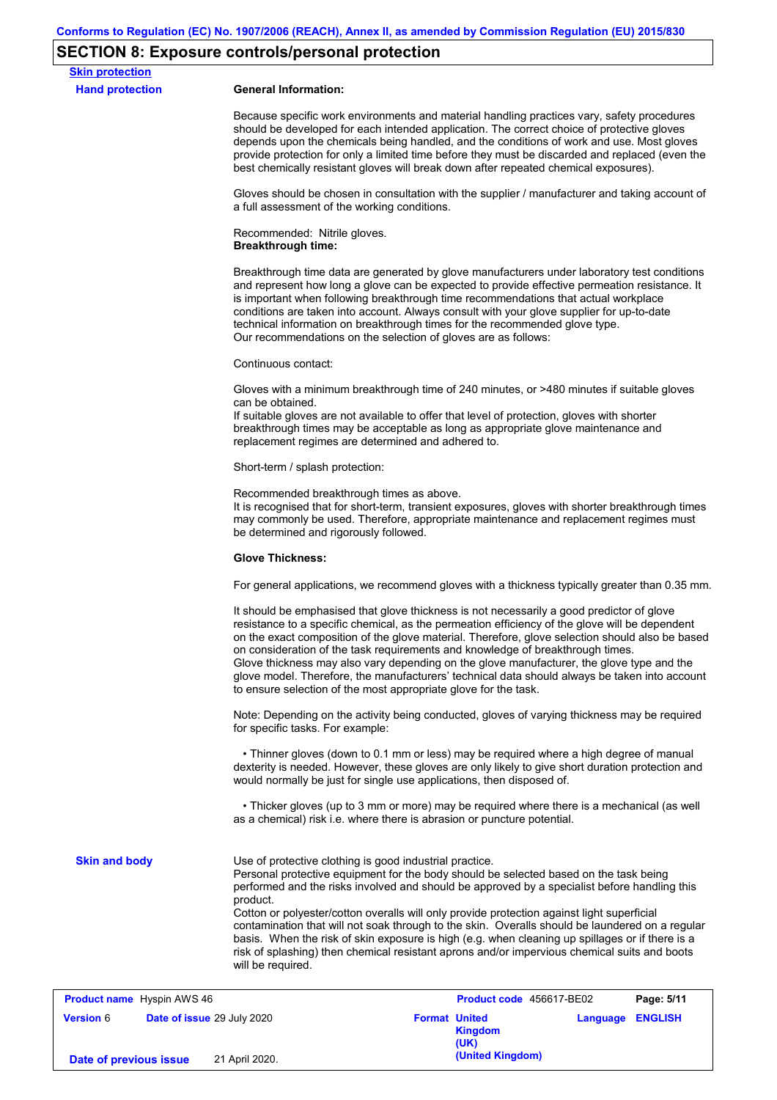# **SECTION 8: Exposure controls/personal protection**

**Date of previous issue** 21 April 2020.

| <b>Skin protection</b>                         |                                                                                                                                                                                                                                                                                                                                                                                                                                                                                                                                                                                                                                                                                       |
|------------------------------------------------|---------------------------------------------------------------------------------------------------------------------------------------------------------------------------------------------------------------------------------------------------------------------------------------------------------------------------------------------------------------------------------------------------------------------------------------------------------------------------------------------------------------------------------------------------------------------------------------------------------------------------------------------------------------------------------------|
| <b>Hand protection</b>                         | <b>General Information:</b>                                                                                                                                                                                                                                                                                                                                                                                                                                                                                                                                                                                                                                                           |
|                                                | Because specific work environments and material handling practices vary, safety procedures<br>should be developed for each intended application. The correct choice of protective gloves<br>depends upon the chemicals being handled, and the conditions of work and use. Most gloves<br>provide protection for only a limited time before they must be discarded and replaced (even the<br>best chemically resistant gloves will break down after repeated chemical exposures).                                                                                                                                                                                                      |
|                                                | Gloves should be chosen in consultation with the supplier / manufacturer and taking account of<br>a full assessment of the working conditions.                                                                                                                                                                                                                                                                                                                                                                                                                                                                                                                                        |
|                                                | Recommended: Nitrile gloves.<br><b>Breakthrough time:</b>                                                                                                                                                                                                                                                                                                                                                                                                                                                                                                                                                                                                                             |
|                                                | Breakthrough time data are generated by glove manufacturers under laboratory test conditions<br>and represent how long a glove can be expected to provide effective permeation resistance. It<br>is important when following breakthrough time recommendations that actual workplace<br>conditions are taken into account. Always consult with your glove supplier for up-to-date<br>technical information on breakthrough times for the recommended glove type.<br>Our recommendations on the selection of gloves are as follows:                                                                                                                                                    |
|                                                | Continuous contact:                                                                                                                                                                                                                                                                                                                                                                                                                                                                                                                                                                                                                                                                   |
|                                                | Gloves with a minimum breakthrough time of 240 minutes, or >480 minutes if suitable gloves<br>can be obtained.<br>If suitable gloves are not available to offer that level of protection, gloves with shorter<br>breakthrough times may be acceptable as long as appropriate glove maintenance and<br>replacement regimes are determined and adhered to.                                                                                                                                                                                                                                                                                                                              |
|                                                | Short-term / splash protection:                                                                                                                                                                                                                                                                                                                                                                                                                                                                                                                                                                                                                                                       |
|                                                | Recommended breakthrough times as above.<br>It is recognised that for short-term, transient exposures, gloves with shorter breakthrough times<br>may commonly be used. Therefore, appropriate maintenance and replacement regimes must<br>be determined and rigorously followed.                                                                                                                                                                                                                                                                                                                                                                                                      |
|                                                | <b>Glove Thickness:</b>                                                                                                                                                                                                                                                                                                                                                                                                                                                                                                                                                                                                                                                               |
|                                                | For general applications, we recommend gloves with a thickness typically greater than 0.35 mm.                                                                                                                                                                                                                                                                                                                                                                                                                                                                                                                                                                                        |
|                                                | It should be emphasised that glove thickness is not necessarily a good predictor of glove<br>resistance to a specific chemical, as the permeation efficiency of the glove will be dependent<br>on the exact composition of the glove material. Therefore, glove selection should also be based<br>on consideration of the task requirements and knowledge of breakthrough times.<br>Glove thickness may also vary depending on the glove manufacturer, the glove type and the<br>glove model. Therefore, the manufacturers' technical data should always be taken into account<br>to ensure selection of the most appropriate glove for the task.                                     |
|                                                | Note: Depending on the activity being conducted, gloves of varying thickness may be required<br>for specific tasks. For example:                                                                                                                                                                                                                                                                                                                                                                                                                                                                                                                                                      |
|                                                | • Thinner gloves (down to 0.1 mm or less) may be required where a high degree of manual<br>dexterity is needed. However, these gloves are only likely to give short duration protection and<br>would normally be just for single use applications, then disposed of.                                                                                                                                                                                                                                                                                                                                                                                                                  |
|                                                | • Thicker gloves (up to 3 mm or more) may be required where there is a mechanical (as well<br>as a chemical) risk i.e. where there is abrasion or puncture potential.                                                                                                                                                                                                                                                                                                                                                                                                                                                                                                                 |
| <b>Skin and body</b>                           | Use of protective clothing is good industrial practice.<br>Personal protective equipment for the body should be selected based on the task being<br>performed and the risks involved and should be approved by a specialist before handling this<br>product.<br>Cotton or polyester/cotton overalls will only provide protection against light superficial<br>contamination that will not soak through to the skin. Overalls should be laundered on a regular<br>basis. When the risk of skin exposure is high (e.g. when cleaning up spillages or if there is a<br>risk of splashing) then chemical resistant aprons and/or impervious chemical suits and boots<br>will be required. |
| <b>Product name</b> Hyspin AWS 46              | Product code 456617-BE02<br>Page: 5/11                                                                                                                                                                                                                                                                                                                                                                                                                                                                                                                                                                                                                                                |
| <b>Version 6</b><br>Date of issue 29 July 2020 | <b>Format United</b><br>Language ENGLISH<br><b>Kingdom</b>                                                                                                                                                                                                                                                                                                                                                                                                                                                                                                                                                                                                                            |

**(UK)**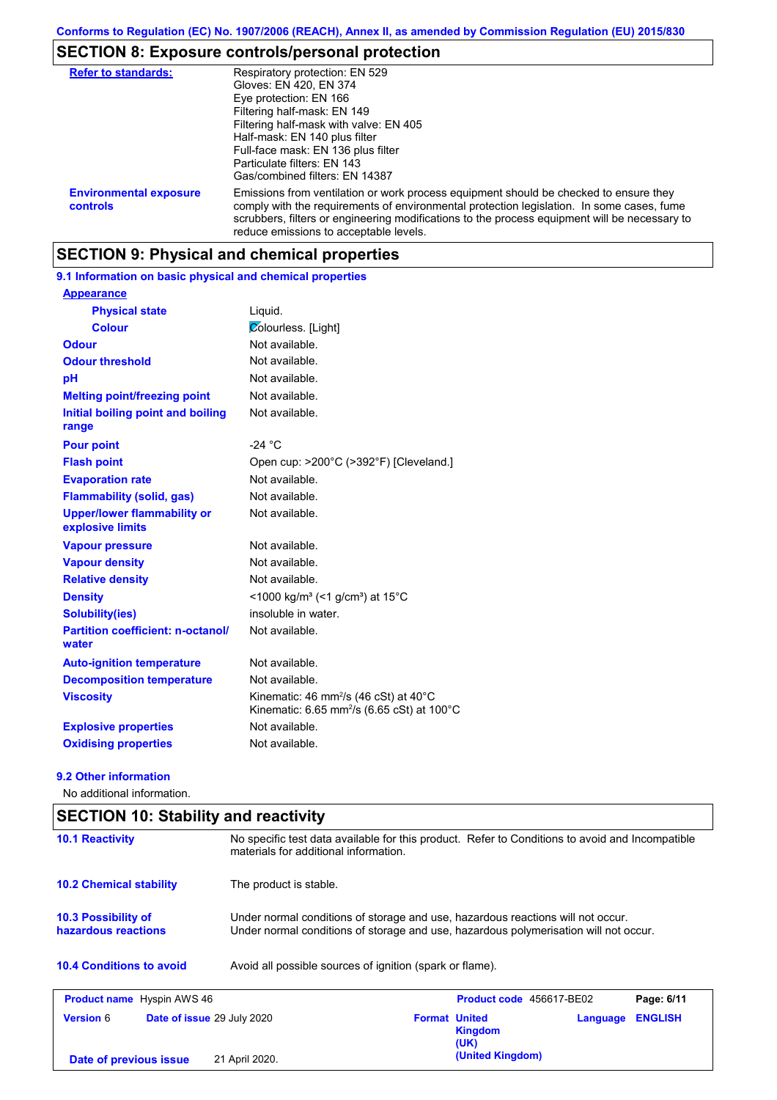# **SECTION 8: Exposure controls/personal protection**

| <b>Refer to standards:</b>                | Respiratory protection: EN 529<br>Gloves: EN 420, EN 374<br>Eye protection: EN 166<br>Filtering half-mask: EN 149<br>Filtering half-mask with valve: EN 405<br>Half-mask: EN 140 plus filter<br>Full-face mask: EN 136 plus filter<br>Particulate filters: EN 143<br>Gas/combined filters: EN 14387                           |
|-------------------------------------------|-------------------------------------------------------------------------------------------------------------------------------------------------------------------------------------------------------------------------------------------------------------------------------------------------------------------------------|
| <b>Environmental exposure</b><br>controls | Emissions from ventilation or work process equipment should be checked to ensure they<br>comply with the requirements of environmental protection legislation. In some cases, fume<br>scrubbers, filters or engineering modifications to the process equipment will be necessary to<br>reduce emissions to acceptable levels. |

## **SECTION 9: Physical and chemical properties**

### **9.1 Information on basic physical and chemical properties**

| <b>Appearance</b>                                      |                                                                                                                                   |
|--------------------------------------------------------|-----------------------------------------------------------------------------------------------------------------------------------|
| <b>Physical state</b>                                  | Liquid.                                                                                                                           |
| <b>Colour</b>                                          | <b>Zolourless.</b> [Light]                                                                                                        |
| <b>Odour</b>                                           | Not available.                                                                                                                    |
| <b>Odour threshold</b>                                 | Not available.                                                                                                                    |
| рH                                                     | Not available.                                                                                                                    |
| <b>Melting point/freezing point</b>                    | Not available.                                                                                                                    |
| Initial boiling point and boiling<br>range             | Not available.                                                                                                                    |
| <b>Pour point</b>                                      | $-24 °C$                                                                                                                          |
| <b>Flash point</b>                                     | Open cup: >200°C (>392°F) [Cleveland.]                                                                                            |
| <b>Evaporation rate</b>                                | Not available.                                                                                                                    |
| <b>Flammability (solid, gas)</b>                       | Not available.                                                                                                                    |
| <b>Upper/lower flammability or</b><br>explosive limits | Not available.                                                                                                                    |
| <b>Vapour pressure</b>                                 | Not available.                                                                                                                    |
| <b>Vapour density</b>                                  | Not available.                                                                                                                    |
| <b>Relative density</b>                                | Not available.                                                                                                                    |
| <b>Density</b>                                         | <1000 kg/m <sup>3</sup> (<1 g/cm <sup>3</sup> ) at 15 <sup>°</sup> C                                                              |
| <b>Solubility(ies)</b>                                 | insoluble in water.                                                                                                               |
| <b>Partition coefficient: n-octanol/</b><br>water      | Not available.                                                                                                                    |
| <b>Auto-ignition temperature</b>                       | Not available.                                                                                                                    |
| <b>Decomposition temperature</b>                       | Not available.                                                                                                                    |
| <b>Viscosity</b>                                       | Kinematic: 46 mm <sup>2</sup> /s (46 cSt) at 40 $^{\circ}$ C<br>Kinematic: 6.65 mm <sup>2</sup> /s (6.65 cSt) at 100 $^{\circ}$ C |
| <b>Explosive properties</b>                            | Not available.                                                                                                                    |
| <b>Oxidising properties</b>                            | Not available.                                                                                                                    |

### **9.2 Other information**

No additional information.

| <b>SECTION 10: Stability and reactivity</b>                                                 |                                                                                                                                                                         |                      |                          |          |                |
|---------------------------------------------------------------------------------------------|-------------------------------------------------------------------------------------------------------------------------------------------------------------------------|----------------------|--------------------------|----------|----------------|
| <b>10.1 Reactivity</b>                                                                      | No specific test data available for this product. Refer to Conditions to avoid and Incompatible<br>materials for additional information.                                |                      |                          |          |                |
| <b>10.2 Chemical stability</b>                                                              | The product is stable.                                                                                                                                                  |                      |                          |          |                |
| <b>10.3 Possibility of</b><br>hazardous reactions                                           | Under normal conditions of storage and use, hazardous reactions will not occur.<br>Under normal conditions of storage and use, hazardous polymerisation will not occur. |                      |                          |          |                |
| <b>10.4 Conditions to avoid</b><br>Avoid all possible sources of ignition (spark or flame). |                                                                                                                                                                         |                      |                          |          |                |
| <b>Product name</b> Hyspin AWS 46                                                           |                                                                                                                                                                         |                      | Product code 456617-BE02 |          | Page: 6/11     |
| <b>Version 6</b>                                                                            | <b>Date of issue 29 July 2020</b>                                                                                                                                       | <b>Format United</b> | <b>Kingdom</b><br>(UK)   | Language | <b>ENGLISH</b> |
| Date of previous issue                                                                      | 21 April 2020.                                                                                                                                                          |                      | (United Kingdom)         |          |                |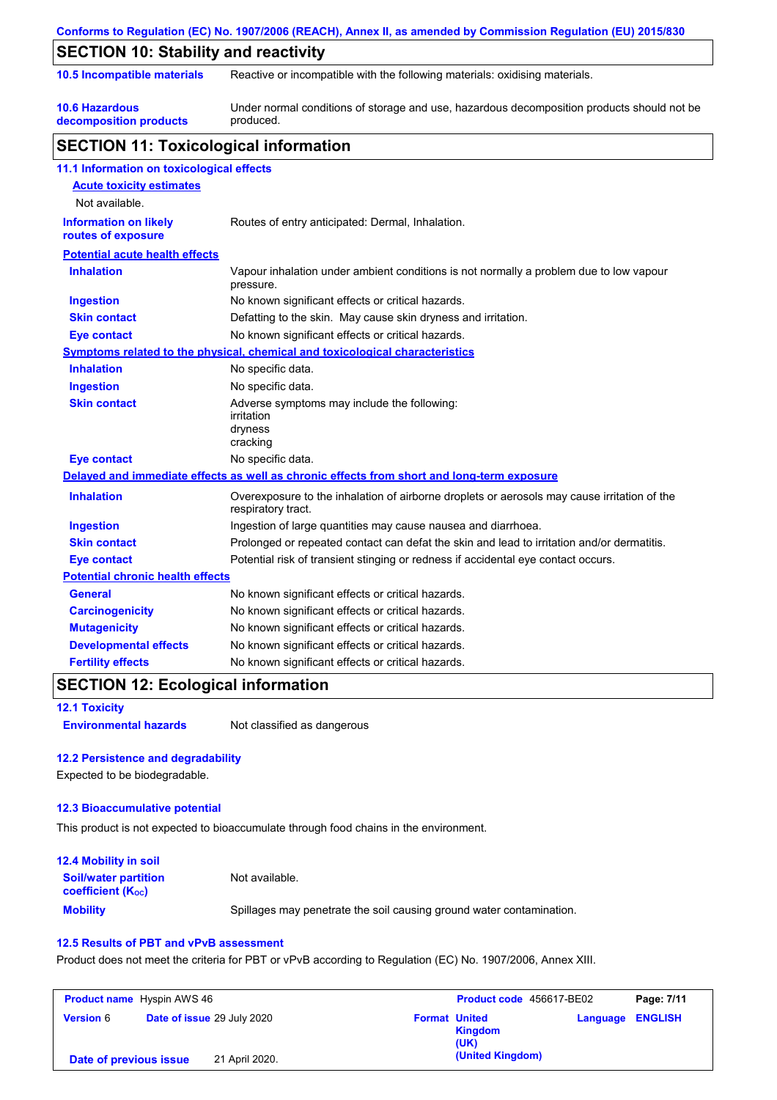|                                                    | Conforms to Regulation (EC) No. 1907/2006 (REACH), Annex II, as amended by Commission Regulation (EU) 2015/830    |  |  |
|----------------------------------------------------|-------------------------------------------------------------------------------------------------------------------|--|--|
| <b>SECTION 10: Stability and reactivity</b>        |                                                                                                                   |  |  |
| 10.5 Incompatible materials                        | Reactive or incompatible with the following materials: oxidising materials.                                       |  |  |
| <b>10.6 Hazardous</b><br>decomposition products    | Under normal conditions of storage and use, hazardous decomposition products should not be<br>produced.           |  |  |
| <b>SECTION 11: Toxicological information</b>       |                                                                                                                   |  |  |
| 11.1 Information on toxicological effects          |                                                                                                                   |  |  |
| <b>Acute toxicity estimates</b>                    |                                                                                                                   |  |  |
| Not available.                                     |                                                                                                                   |  |  |
| <b>Information on likely</b><br>routes of exposure | Routes of entry anticipated: Dermal, Inhalation.                                                                  |  |  |
| <b>Potential acute health effects</b>              |                                                                                                                   |  |  |
| <b>Inhalation</b>                                  | Vapour inhalation under ambient conditions is not normally a problem due to low vapour<br>pressure.               |  |  |
| <b>Ingestion</b>                                   | No known significant effects or critical hazards.                                                                 |  |  |
| <b>Skin contact</b>                                | Defatting to the skin. May cause skin dryness and irritation.                                                     |  |  |
| <b>Eye contact</b>                                 | No known significant effects or critical hazards.                                                                 |  |  |
|                                                    | Symptoms related to the physical, chemical and toxicological characteristics                                      |  |  |
| <b>Inhalation</b>                                  | No specific data.                                                                                                 |  |  |
| <b>Ingestion</b>                                   | No specific data.                                                                                                 |  |  |
| <b>Skin contact</b>                                | Adverse symptoms may include the following:<br>irritation<br>dryness<br>cracking                                  |  |  |
| <b>Eye contact</b>                                 | No specific data.                                                                                                 |  |  |
|                                                    | Delayed and immediate effects as well as chronic effects from short and long-term exposure                        |  |  |
| <b>Inhalation</b>                                  | Overexposure to the inhalation of airborne droplets or aerosols may cause irritation of the<br>respiratory tract. |  |  |
| <b>Ingestion</b>                                   | Ingestion of large quantities may cause nausea and diarrhoea.                                                     |  |  |
| <b>Skin contact</b>                                | Prolonged or repeated contact can defat the skin and lead to irritation and/or dermatitis.                        |  |  |
| <b>Eye contact</b>                                 | Potential risk of transient stinging or redness if accidental eye contact occurs.                                 |  |  |
| <b>Potential chronic health effects</b>            |                                                                                                                   |  |  |
| General                                            | No known significant effects or critical hazards.                                                                 |  |  |
| <b>Carcinogenicity</b>                             | No known significant effects or critical hazards.                                                                 |  |  |
| <b>Mutagenicity</b>                                | No known significant effects or critical hazards.                                                                 |  |  |
| <b>Developmental effects</b>                       | No known significant effects or critical hazards.                                                                 |  |  |
| <b>Fertility effects</b>                           | No known significant effects or critical hazards.                                                                 |  |  |

# **SECTION 12: Ecological information**

**12.1 Toxicity**

**Environmental hazards** Not classified as dangerous

### **12.2 Persistence and degradability**

Expected to be biodegradable.

### **12.3 Bioaccumulative potential**

This product is not expected to bioaccumulate through food chains in the environment.

| 12.4 Mobility in soil                                   |                                                                      |
|---------------------------------------------------------|----------------------------------------------------------------------|
| <b>Soil/water partition</b><br><b>coefficient (Koc)</b> | Not available.                                                       |
| <b>Mobility</b>                                         | Spillages may penetrate the soil causing ground water contamination. |

### **12.5 Results of PBT and vPvB assessment**

Product does not meet the criteria for PBT or vPvB according to Regulation (EC) No. 1907/2006, Annex XIII.

| <b>Product name</b> Hyspin AWS 46 |                                   | <b>Product code</b> 456617-BE02                |                         | Page: 7/11 |
|-----------------------------------|-----------------------------------|------------------------------------------------|-------------------------|------------|
| <b>Version 6</b>                  | <b>Date of issue 29 July 2020</b> | <b>Format United</b><br><b>Kingdom</b><br>(UK) | <b>Language ENGLISH</b> |            |
| Date of previous issue            | 21 April 2020.                    | (United Kingdom)                               |                         |            |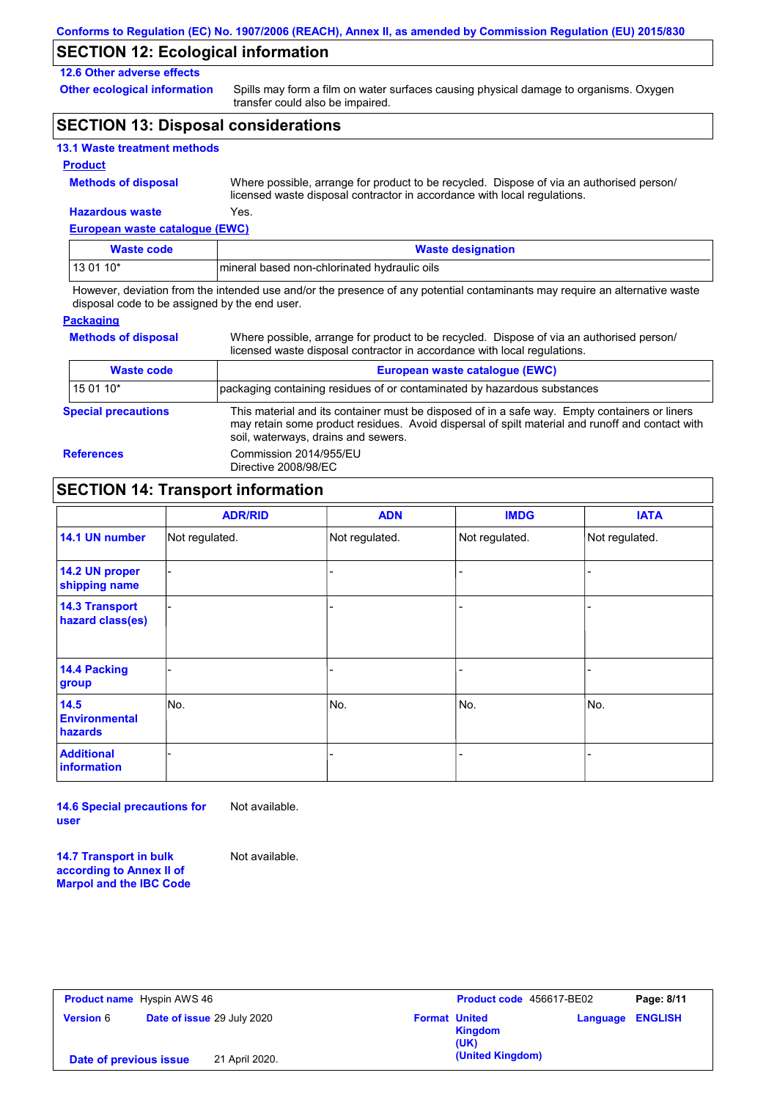### **SECTION 12: Ecological information**

### **12.6 Other adverse effects**

**Other ecological information**

Spills may form a film on water surfaces causing physical damage to organisms. Oxygen transfer could also be impaired.

## **SECTION 13: Disposal considerations**

### **Product**

**Methods of disposal**

**Hazardous waste** Yes. Where possible, arrange for product to be recycled. Dispose of via an authorised person/ licensed waste disposal contractor in accordance with local regulations.

**European waste catalogue (EWC)**

| <b>Waste code</b> | <b>Waste designation</b>                      |
|-------------------|-----------------------------------------------|
| $130110*$         | Imineral based non-chlorinated hydraulic oils |

However, deviation from the intended use and/or the presence of any potential contaminants may require an alternative waste disposal code to be assigned by the end user.

#### **Packaging**

**Methods of disposal**

Where possible, arrange for product to be recycled. Dispose of via an authorised person/ licensed waste disposal contractor in accordance with local regulations.

| <b>Waste code</b>                                                                       | European waste catalogue (EWC)                                                                                                                                                                                                          |  |
|-----------------------------------------------------------------------------------------|-----------------------------------------------------------------------------------------------------------------------------------------------------------------------------------------------------------------------------------------|--|
| packaging containing residues of or contaminated by hazardous substances<br>l 15 01 10* |                                                                                                                                                                                                                                         |  |
| <b>Special precautions</b>                                                              | This material and its container must be disposed of in a safe way. Empty containers or liners<br>may retain some product residues. Avoid dispersal of spilt material and runoff and contact with<br>soil, waterways, drains and sewers. |  |
| <b>References</b>                                                                       | Commission 2014/955/EU<br>Directive 2008/98/EC                                                                                                                                                                                          |  |

# **SECTION 14: Transport information**

|                                           | <b>ADR/RID</b> | <b>ADN</b>     | <b>IMDG</b>    | <b>IATA</b>    |
|-------------------------------------------|----------------|----------------|----------------|----------------|
| 14.1 UN number                            | Not regulated. | Not regulated. | Not regulated. | Not regulated. |
| 14.2 UN proper<br>shipping name           |                |                |                |                |
| <b>14.3 Transport</b><br>hazard class(es) |                |                | -              |                |
| 14.4 Packing<br>group                     |                |                |                |                |
| 14.5<br><b>Environmental</b><br>hazards   | No.            | No.            | No.            | No.            |
| <b>Additional</b><br>information          |                |                | ۰              |                |

**14.6 Special precautions for user** Not available.

**14.7 Transport in bulk according to Annex II of** 

**Marpol and the IBC Code**

Not available.

**Product name** Hyspin AWS 46 **Version** 6 **Product code** 456617-BE02 **Page: 8/11 Date of issue** 29 July 2020 **Format United Kingdom (UK) Language ENGLISH (United Kingdom) Date of previous issue** 21 April 2020.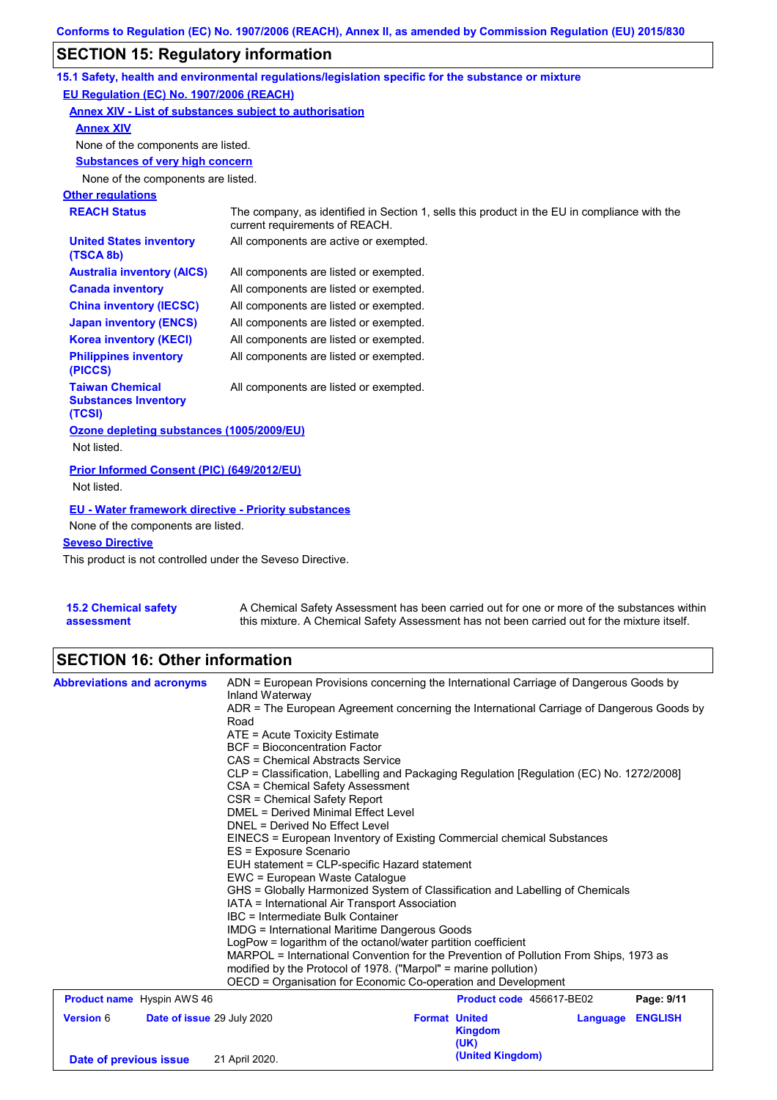# **SECTION 15: Regulatory information**

|                                                                 | 15.1 Safety, health and environmental regulations/legislation specific for the substance or mixture                            |  |  |
|-----------------------------------------------------------------|--------------------------------------------------------------------------------------------------------------------------------|--|--|
| EU Regulation (EC) No. 1907/2006 (REACH)                        |                                                                                                                                |  |  |
| Annex XIV - List of substances subject to authorisation         |                                                                                                                                |  |  |
| <b>Annex XIV</b>                                                |                                                                                                                                |  |  |
| None of the components are listed.                              |                                                                                                                                |  |  |
| <b>Substances of very high concern</b>                          |                                                                                                                                |  |  |
| None of the components are listed.                              |                                                                                                                                |  |  |
| <b>Other regulations</b>                                        |                                                                                                                                |  |  |
| <b>REACH Status</b>                                             | The company, as identified in Section 1, sells this product in the EU in compliance with the<br>current requirements of REACH. |  |  |
| <b>United States inventory</b><br>(TSCA 8b)                     | All components are active or exempted.                                                                                         |  |  |
| <b>Australia inventory (AICS)</b>                               | All components are listed or exempted.                                                                                         |  |  |
| <b>Canada inventory</b>                                         | All components are listed or exempted.                                                                                         |  |  |
| <b>China inventory (IECSC)</b>                                  | All components are listed or exempted.                                                                                         |  |  |
| <b>Japan inventory (ENCS)</b>                                   | All components are listed or exempted.                                                                                         |  |  |
| <b>Korea inventory (KECI)</b>                                   | All components are listed or exempted.                                                                                         |  |  |
| <b>Philippines inventory</b><br>(PICCS)                         | All components are listed or exempted.                                                                                         |  |  |
| <b>Taiwan Chemical</b><br><b>Substances Inventory</b><br>(TCSI) | All components are listed or exempted.                                                                                         |  |  |
| Ozone depleting substances (1005/2009/EU)                       |                                                                                                                                |  |  |
| Not listed.                                                     |                                                                                                                                |  |  |
| Prior Informed Consent (PIC) (649/2012/EU)                      |                                                                                                                                |  |  |
| Not listed.                                                     |                                                                                                                                |  |  |
| <b>EU - Water framework directive - Priority substances</b>     |                                                                                                                                |  |  |
| None of the components are listed.                              |                                                                                                                                |  |  |
| <b>Seveso Directive</b>                                         |                                                                                                                                |  |  |
|                                                                 |                                                                                                                                |  |  |

This product is not controlled under the Seveso Directive.

| 15.2 Chemical safety | A Chemical Safety Assessment has been carried out for one or more of the substances within  |
|----------------------|---------------------------------------------------------------------------------------------|
| assessment           | this mixture. A Chemical Safety Assessment has not been carried out for the mixture itself. |

# **SECTION 16: Other information**

| <b>Abbreviations and acronyms</b> | Inland Waterway                                |                                                                                                                                                                                                                                                                                   | ADN = European Provisions concerning the International Carriage of Dangerous Goods by    |  |  |  |  |
|-----------------------------------|------------------------------------------------|-----------------------------------------------------------------------------------------------------------------------------------------------------------------------------------------------------------------------------------------------------------------------------------|------------------------------------------------------------------------------------------|--|--|--|--|
|                                   |                                                |                                                                                                                                                                                                                                                                                   | ADR = The European Agreement concerning the International Carriage of Dangerous Goods by |  |  |  |  |
|                                   | Road                                           |                                                                                                                                                                                                                                                                                   |                                                                                          |  |  |  |  |
|                                   |                                                | ATE = Acute Toxicity Estimate                                                                                                                                                                                                                                                     |                                                                                          |  |  |  |  |
|                                   | <b>BCF</b> = Bioconcentration Factor           |                                                                                                                                                                                                                                                                                   |                                                                                          |  |  |  |  |
|                                   |                                                | CAS = Chemical Abstracts Service                                                                                                                                                                                                                                                  |                                                                                          |  |  |  |  |
|                                   |                                                | CLP = Classification, Labelling and Packaging Regulation [Regulation (EC) No. 1272/2008]<br>CSA = Chemical Safety Assessment<br>CSR = Chemical Safety Report<br>DMEL = Derived Minimal Effect Level                                                                               |                                                                                          |  |  |  |  |
|                                   |                                                |                                                                                                                                                                                                                                                                                   |                                                                                          |  |  |  |  |
|                                   |                                                |                                                                                                                                                                                                                                                                                   |                                                                                          |  |  |  |  |
|                                   |                                                | DNEL = Derived No Effect Level                                                                                                                                                                                                                                                    |                                                                                          |  |  |  |  |
|                                   |                                                | EINECS = European Inventory of Existing Commercial chemical Substances                                                                                                                                                                                                            |                                                                                          |  |  |  |  |
|                                   | ES = Exposure Scenario                         |                                                                                                                                                                                                                                                                                   |                                                                                          |  |  |  |  |
|                                   | EUH statement = CLP-specific Hazard statement  |                                                                                                                                                                                                                                                                                   |                                                                                          |  |  |  |  |
|                                   | EWC = European Waste Cataloque                 |                                                                                                                                                                                                                                                                                   |                                                                                          |  |  |  |  |
|                                   |                                                | GHS = Globally Harmonized System of Classification and Labelling of Chemicals                                                                                                                                                                                                     |                                                                                          |  |  |  |  |
|                                   | IATA = International Air Transport Association |                                                                                                                                                                                                                                                                                   |                                                                                          |  |  |  |  |
|                                   |                                                | IBC = Intermediate Bulk Container                                                                                                                                                                                                                                                 |                                                                                          |  |  |  |  |
|                                   |                                                | <b>IMDG = International Maritime Dangerous Goods</b><br>LogPow = logarithm of the octanol/water partition coefficient<br>MARPOL = International Convention for the Prevention of Pollution From Ships, 1973 as<br>modified by the Protocol of 1978. ("Marpol" = marine pollution) |                                                                                          |  |  |  |  |
|                                   |                                                |                                                                                                                                                                                                                                                                                   |                                                                                          |  |  |  |  |
|                                   |                                                |                                                                                                                                                                                                                                                                                   |                                                                                          |  |  |  |  |
|                                   |                                                |                                                                                                                                                                                                                                                                                   |                                                                                          |  |  |  |  |
|                                   |                                                | OECD = Organisation for Economic Co-operation and Development                                                                                                                                                                                                                     |                                                                                          |  |  |  |  |
| <b>Product name</b> Hyspin AWS 46 |                                                |                                                                                                                                                                                                                                                                                   | Product code 456617-BE02<br>Page: 9/11                                                   |  |  |  |  |
| <b>Version 6</b>                  | <b>Date of issue 29 July 2020</b>              | <b>Format United</b>                                                                                                                                                                                                                                                              | <b>ENGLISH</b><br>Language                                                               |  |  |  |  |
|                                   |                                                | <b>Kingdom</b>                                                                                                                                                                                                                                                                    |                                                                                          |  |  |  |  |
|                                   |                                                | (UK)                                                                                                                                                                                                                                                                              |                                                                                          |  |  |  |  |
| Date of previous issue            | 21 April 2020.                                 | (United Kingdom)                                                                                                                                                                                                                                                                  |                                                                                          |  |  |  |  |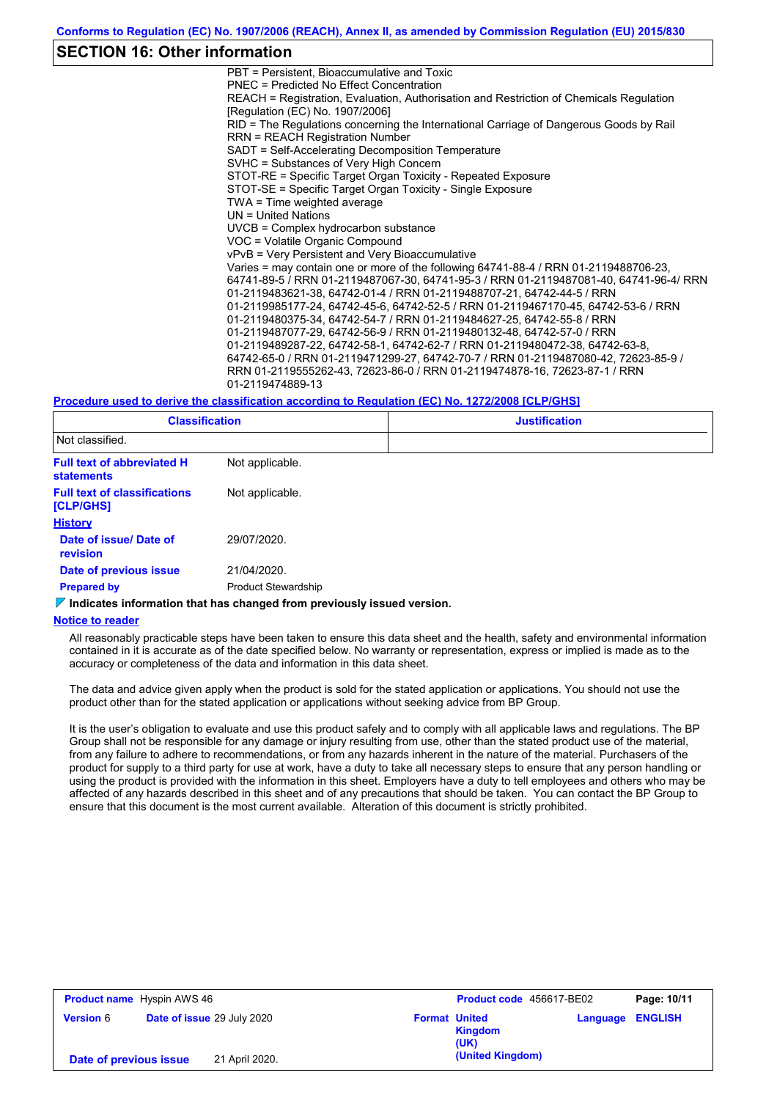### **SECTION 16: Other information**

PBT = Persistent, Bioaccumulative and Toxic PNEC = Predicted No Effect Concentration REACH = Registration, Evaluation, Authorisation and Restriction of Chemicals Regulation [Regulation (EC) No. 1907/2006] RID = The Regulations concerning the International Carriage of Dangerous Goods by Rail RRN = REACH Registration Number SADT = Self-Accelerating Decomposition Temperature SVHC = Substances of Very High Concern STOT-RE = Specific Target Organ Toxicity - Repeated Exposure STOT-SE = Specific Target Organ Toxicity - Single Exposure TWA = Time weighted average UN = United Nations UVCB = Complex hydrocarbon substance VOC = Volatile Organic Compound vPvB = Very Persistent and Very Bioaccumulative Varies = may contain one or more of the following 64741-88-4 / RRN 01-2119488706-23, 64741-89-5 / RRN 01-2119487067-30, 64741-95-3 / RRN 01-2119487081-40, 64741-96-4/ RRN 01-2119483621-38, 64742-01-4 / RRN 01-2119488707-21, 64742-44-5 / RRN 01-2119985177-24, 64742-45-6, 64742-52-5 / RRN 01-2119467170-45, 64742-53-6 / RRN 01-2119480375-34, 64742-54-7 / RRN 01-2119484627-25, 64742-55-8 / RRN 01-2119487077-29, 64742-56-9 / RRN 01-2119480132-48, 64742-57-0 / RRN 01-2119489287-22, 64742-58-1, 64742-62-7 / RRN 01-2119480472-38, 64742-63-8, 64742-65-0 / RRN 01-2119471299-27, 64742-70-7 / RRN 01-2119487080-42, 72623-85-9 / RRN 01-2119555262-43, 72623-86-0 / RRN 01-2119474878-16, 72623-87-1 / RRN 01-2119474889-13

#### **Procedure used to derive the classification according to Regulation (EC) No. 1272/2008 [CLP/GHS]**

| <b>Classification</b>                                  |                            | <b>Justification</b> |  |  |
|--------------------------------------------------------|----------------------------|----------------------|--|--|
| Not classified.                                        |                            |                      |  |  |
| <b>Full text of abbreviated H</b><br><b>statements</b> | Not applicable.            |                      |  |  |
| <b>Full text of classifications</b><br>[CLP/GHS]       | Not applicable.            |                      |  |  |
| <b>History</b>                                         |                            |                      |  |  |
| Date of issue/ Date of<br>revision                     | 29/07/2020.                |                      |  |  |
| Date of previous issue                                 | 21/04/2020.                |                      |  |  |
| <b>Prepared by</b>                                     | <b>Product Stewardship</b> |                      |  |  |

### **Indicates information that has changed from previously issued version.**

#### **Notice to reader**

All reasonably practicable steps have been taken to ensure this data sheet and the health, safety and environmental information contained in it is accurate as of the date specified below. No warranty or representation, express or implied is made as to the accuracy or completeness of the data and information in this data sheet.

The data and advice given apply when the product is sold for the stated application or applications. You should not use the product other than for the stated application or applications without seeking advice from BP Group.

It is the user's obligation to evaluate and use this product safely and to comply with all applicable laws and regulations. The BP Group shall not be responsible for any damage or injury resulting from use, other than the stated product use of the material, from any failure to adhere to recommendations, or from any hazards inherent in the nature of the material. Purchasers of the product for supply to a third party for use at work, have a duty to take all necessary steps to ensure that any person handling or using the product is provided with the information in this sheet. Employers have a duty to tell employees and others who may be affected of any hazards described in this sheet and of any precautions that should be taken. You can contact the BP Group to ensure that this document is the most current available. Alteration of this document is strictly prohibited.

| <b>Product name</b> Hyspin AWS 46 |                            | Product code 456617-BE02 |                      | Page: 10/11            |          |                |
|-----------------------------------|----------------------------|--------------------------|----------------------|------------------------|----------|----------------|
| <b>Version 6</b>                  | Date of issue 29 July 2020 |                          | <b>Format United</b> | <b>Kingdom</b><br>(UK) | Language | <b>ENGLISH</b> |
| Date of previous issue            |                            | 21 April 2020.           |                      | (United Kingdom)       |          |                |